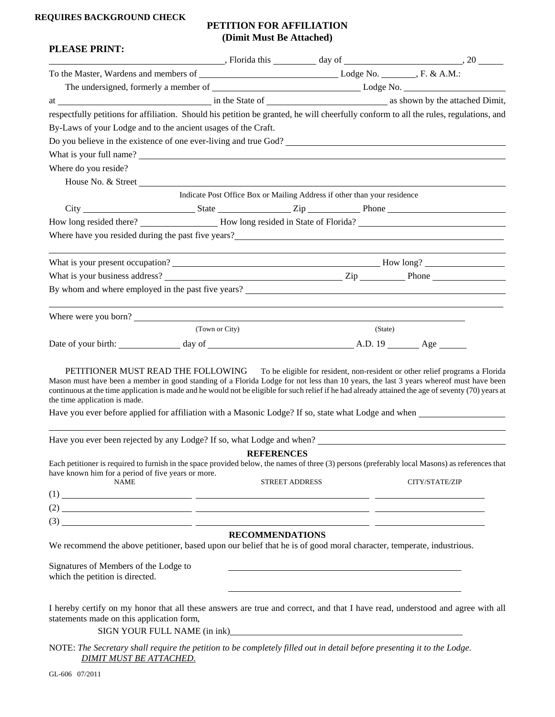## **REQUIRES BACKGROUND CHECK**

## **PETITION FOR AFFILIATION (Dimit Must Be Attached)**

| <b>PLEASE PRINT:</b>                                                                                                                                                                                                                                                                                                                                                                                                                 |                |                        |                                                                          |         |                                                                         |
|--------------------------------------------------------------------------------------------------------------------------------------------------------------------------------------------------------------------------------------------------------------------------------------------------------------------------------------------------------------------------------------------------------------------------------------|----------------|------------------------|--------------------------------------------------------------------------|---------|-------------------------------------------------------------------------|
|                                                                                                                                                                                                                                                                                                                                                                                                                                      |                |                        |                                                                          |         | $\blacksquare$ , Florida this $\blacksquare$ day of $\blacksquare$ , 20 |
|                                                                                                                                                                                                                                                                                                                                                                                                                                      |                |                        |                                                                          |         |                                                                         |
|                                                                                                                                                                                                                                                                                                                                                                                                                                      |                |                        |                                                                          |         |                                                                         |
|                                                                                                                                                                                                                                                                                                                                                                                                                                      |                |                        |                                                                          |         |                                                                         |
| respectfully petitions for affiliation. Should his petition be granted, he will cheerfully conform to all the rules, regulations, and                                                                                                                                                                                                                                                                                                |                |                        |                                                                          |         |                                                                         |
| By-Laws of your Lodge and to the ancient usages of the Craft.                                                                                                                                                                                                                                                                                                                                                                        |                |                        |                                                                          |         |                                                                         |
| Do you believe in the existence of one ever-living and true God?                                                                                                                                                                                                                                                                                                                                                                     |                |                        |                                                                          |         |                                                                         |
|                                                                                                                                                                                                                                                                                                                                                                                                                                      |                |                        |                                                                          |         |                                                                         |
| Where do you reside?                                                                                                                                                                                                                                                                                                                                                                                                                 |                |                        |                                                                          |         |                                                                         |
|                                                                                                                                                                                                                                                                                                                                                                                                                                      |                |                        |                                                                          |         |                                                                         |
|                                                                                                                                                                                                                                                                                                                                                                                                                                      |                |                        | Indicate Post Office Box or Mailing Address if other than your residence |         |                                                                         |
|                                                                                                                                                                                                                                                                                                                                                                                                                                      |                |                        |                                                                          |         |                                                                         |
|                                                                                                                                                                                                                                                                                                                                                                                                                                      |                |                        |                                                                          |         |                                                                         |
| Where have you resided during the past five years?<br>The mass of the contract of the past five years?                                                                                                                                                                                                                                                                                                                               |                |                        |                                                                          |         |                                                                         |
|                                                                                                                                                                                                                                                                                                                                                                                                                                      |                |                        |                                                                          |         |                                                                         |
|                                                                                                                                                                                                                                                                                                                                                                                                                                      |                |                        |                                                                          |         |                                                                         |
|                                                                                                                                                                                                                                                                                                                                                                                                                                      |                |                        |                                                                          |         |                                                                         |
| By whom and where employed in the past five years?                                                                                                                                                                                                                                                                                                                                                                                   |                |                        |                                                                          |         |                                                                         |
|                                                                                                                                                                                                                                                                                                                                                                                                                                      |                |                        |                                                                          |         |                                                                         |
| Where were you born?                                                                                                                                                                                                                                                                                                                                                                                                                 | (Town or City) |                        |                                                                          |         |                                                                         |
|                                                                                                                                                                                                                                                                                                                                                                                                                                      |                |                        |                                                                          | (State) |                                                                         |
| Date of your birth: day of day of day of A.D. 19 A.D. 4ge                                                                                                                                                                                                                                                                                                                                                                            |                |                        |                                                                          |         |                                                                         |
| Mason must have been a member in good standing of a Florida Lodge for not less than 10 years, the last 3 years whereof must have been<br>continuous at the time application is made and he would not be eligible for such relief if he had already attained the age of seventy (70) years at<br>the time application is made.<br>Have you ever before applied for affiliation with a Masonic Lodge? If so, state what Lodge and when |                |                        |                                                                          |         |                                                                         |
|                                                                                                                                                                                                                                                                                                                                                                                                                                      |                |                        |                                                                          |         |                                                                         |
|                                                                                                                                                                                                                                                                                                                                                                                                                                      |                |                        |                                                                          |         |                                                                         |
|                                                                                                                                                                                                                                                                                                                                                                                                                                      |                | <b>REFERENCES</b>      |                                                                          |         |                                                                         |
| Each petitioner is required to furnish in the space provided below, the names of three (3) persons (preferably local Masons) as references that<br>have known him for a period of five years or more.<br><b>NAME</b>                                                                                                                                                                                                                 |                |                        |                                                                          |         |                                                                         |
|                                                                                                                                                                                                                                                                                                                                                                                                                                      |                | <b>STREET ADDRESS</b>  |                                                                          |         | CITY/STATE/ZIP                                                          |
|                                                                                                                                                                                                                                                                                                                                                                                                                                      |                |                        |                                                                          |         |                                                                         |
|                                                                                                                                                                                                                                                                                                                                                                                                                                      |                |                        |                                                                          |         |                                                                         |
|                                                                                                                                                                                                                                                                                                                                                                                                                                      |                |                        |                                                                          |         |                                                                         |
|                                                                                                                                                                                                                                                                                                                                                                                                                                      |                | <b>RECOMMENDATIONS</b> |                                                                          |         |                                                                         |
| We recommend the above petitioner, based upon our belief that he is of good moral character, temperate, industrious.                                                                                                                                                                                                                                                                                                                 |                |                        |                                                                          |         |                                                                         |
|                                                                                                                                                                                                                                                                                                                                                                                                                                      |                |                        |                                                                          |         |                                                                         |
| Signatures of Members of the Lodge to<br>which the petition is directed.                                                                                                                                                                                                                                                                                                                                                             |                |                        |                                                                          |         |                                                                         |
|                                                                                                                                                                                                                                                                                                                                                                                                                                      |                |                        |                                                                          |         |                                                                         |
|                                                                                                                                                                                                                                                                                                                                                                                                                                      |                |                        |                                                                          |         |                                                                         |
| I hereby certify on my honor that all these answers are true and correct, and that I have read, understood and agree with all                                                                                                                                                                                                                                                                                                        |                |                        |                                                                          |         |                                                                         |
| statements made on this application form,                                                                                                                                                                                                                                                                                                                                                                                            |                |                        |                                                                          |         |                                                                         |
|                                                                                                                                                                                                                                                                                                                                                                                                                                      |                |                        | SIGN YOUR FULL NAME (in ink)<br><u>SIGN YOUR FULL NAME</u> (in ink)      |         |                                                                         |
| NOTE: The Secretary shall require the petition to be completely filled out in detail before presenting it to the Lodge.<br><b>DIMIT MUST BE ATTACHED.</b>                                                                                                                                                                                                                                                                            |                |                        |                                                                          |         |                                                                         |

GL-606 07/2011